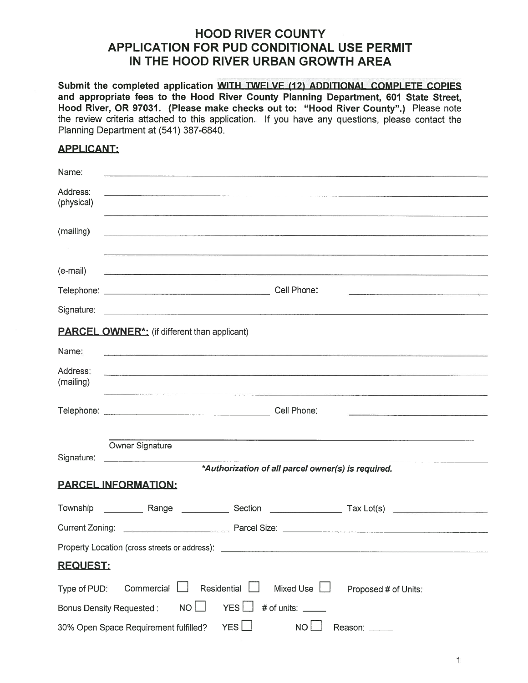# HOOD RIVER COUNTY APPLICATION FOR PUD CONDITIONAL USE PERMIT IN THE HOOD RIVER URBAN GROWTH AREA

## APPLICANT:

| <b>HOOD RIVER COUNTY</b><br><b>APPLICATION FOR PUD CONDITIONAL USE PERMIT</b><br>IN THE HOOD RIVER URBAN GROWTH AREA                                                                                                                                                                                                                                                                                     |
|----------------------------------------------------------------------------------------------------------------------------------------------------------------------------------------------------------------------------------------------------------------------------------------------------------------------------------------------------------------------------------------------------------|
| Submit the completed application WITH TWELVE (12) ADDITIONAL COMPLETE COPIES<br>and appropriate fees to the Hood River County Planning Department, 601 State Street,<br>Hood River, OR 97031. (Please make checks out to: "Hood River County".) Please note<br>the review criteria attached to this application. If you have any questions, please contact the<br>Planning Department at (541) 387-6840. |
| <b>APPLICANT:</b>                                                                                                                                                                                                                                                                                                                                                                                        |
| Name:                                                                                                                                                                                                                                                                                                                                                                                                    |
| Address:<br>(physical)                                                                                                                                                                                                                                                                                                                                                                                   |
| (mailing)                                                                                                                                                                                                                                                                                                                                                                                                |
|                                                                                                                                                                                                                                                                                                                                                                                                          |
| (e-mail)                                                                                                                                                                                                                                                                                                                                                                                                 |
|                                                                                                                                                                                                                                                                                                                                                                                                          |
| Signature:                                                                                                                                                                                                                                                                                                                                                                                               |
| <b>PARCEL OWNER*:</b> (if different than applicant)                                                                                                                                                                                                                                                                                                                                                      |
| Name:                                                                                                                                                                                                                                                                                                                                                                                                    |
| Address:<br>(mailing)                                                                                                                                                                                                                                                                                                                                                                                    |
|                                                                                                                                                                                                                                                                                                                                                                                                          |
|                                                                                                                                                                                                                                                                                                                                                                                                          |
| Owner Signature<br>Signature:<br><u> Alexandria de la contrada de la contrada de la contrada de la contrada de la contrada de la contrada de la c</u>                                                                                                                                                                                                                                                    |
| *Authorization of all parcel owner(s) is required.                                                                                                                                                                                                                                                                                                                                                       |
| <b>PARCEL INFORMATION:</b>                                                                                                                                                                                                                                                                                                                                                                               |
|                                                                                                                                                                                                                                                                                                                                                                                                          |
|                                                                                                                                                                                                                                                                                                                                                                                                          |
|                                                                                                                                                                                                                                                                                                                                                                                                          |
| <b>REQUEST:</b>                                                                                                                                                                                                                                                                                                                                                                                          |
| Residential<br>Mixed Use $\Box$<br>$Commercial$ $\Box$<br>Type of PUD:<br>Proposed # of Units:                                                                                                                                                                                                                                                                                                           |
| $YES$ $#$ of units: _____<br>Bonus Density Requested: NO                                                                                                                                                                                                                                                                                                                                                 |
| YES<br><b>NO</b><br>30% Open Space Requirement fulfilled?<br>Reason: _____                                                                                                                                                                                                                                                                                                                               |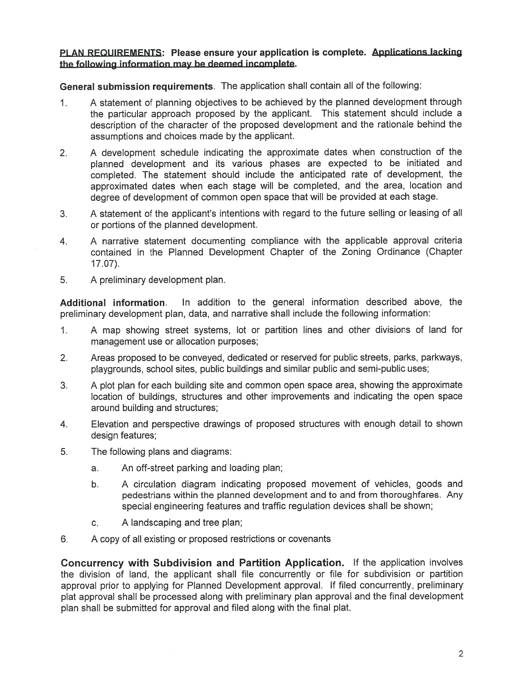### PLAN REQUIREMENTS: Please ensure your application is complete. Applications lacking the following information may be deemed incomplete.

General submission requirements. The application shall contain all of the following:

- 1. <sup>A</sup> statement of <sup>p</sup>lanning objectives to be achieved by the <sup>p</sup>lanned development through the particular approac<sup>h</sup> propose<sup>d</sup> by the applicant. This statement should include <sup>a</sup> description of the character of the propose<sup>d</sup> development and the rationale behind the assumptions and choices made by the applicant.
- 2. <sup>A</sup> development schedule indicating the approximate dates when construction of the <sup>p</sup>lanned development and its various <sup>p</sup>hases are expected to be initiated and completed. The statement should include the anticipated rate of development, the approximated dates when each stage will be completed, and the area, location and degree of development of common open space that will be provided at each stage.
- 3. <sup>A</sup> statement of the applicant's intentions with regard to the future selling or leasing of all or portions of the planned development.
- 4. <sup>A</sup> narrative statement documenting compliance with the applicable approval criteria contained in the Planned Development Chapter of the Zoning Ordinance (Chapter 17.07).
- 5. A preliminary development plan.

Additional information. In addition to the general information described above, the preliminary development plan, data, and narrative shall include the following information:

- 1. <sup>A</sup> map showing street systems, lot or partition lines and other divisions of land for managemen<sup>t</sup> use or allocation purposes;
- 2. Areas proposed to be conveyed, dedicated or reserved for public streets, parks, parkways, playgrounds, school sites, public buildings and similar public and semi-public uses;
- 3. A plot plan for each building site and common open space area, showing the approximate location of buildings, structures and other improvements and indicating the open space around building and structures;
- 4. Elevation and perspective drawings of proposed structures with enough detail to shown design features;
- 5. The following plans and diagrams:
	- a. An off-street parking and loading plan;
	- b. A circulation diagram indicating proposed movement of vehicles, goods and pedestrians within the planned development and to and from thoroughfares. Any special engineering features and traffic regulation devices shall be shown;
	- c. A landscaping and tree plan;
- 6. A copy of all existing or proposed restrictions or covenants

Concurrency with Subdivision and Partition Application. If the application involves the division of land, the applicant shall file concurrently or file for subdivision or partition approval prior to applying for Planned Development approval. If filed concurrently, preliminary <sup>p</sup>lat approva<sup>l</sup> shall be processed along with preliminary <sup>p</sup>lan approva<sup>l</sup> and the final development plan shall be submitted for approval and filed along with the final plat.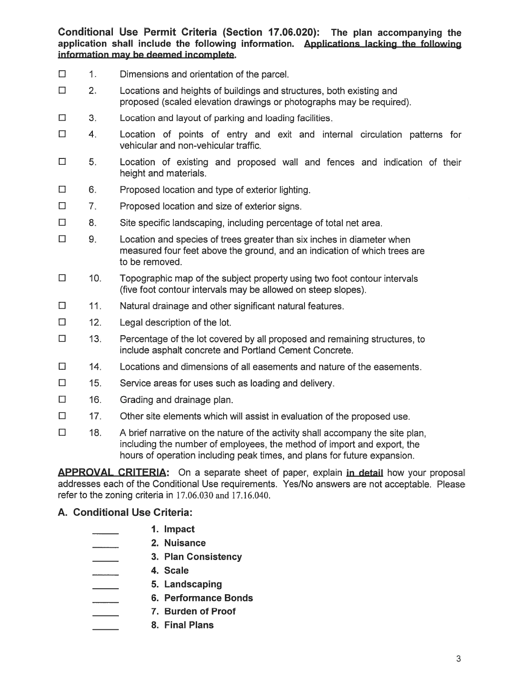Conditional Use Permit Criteria (Section 17.06.020): The plan accompanying the application shall include the following information. Applications lacking the following information may be deemed incomplete.

- $\Box$  1. Dimensions and orientation of the parcel.
- $\square$  2. Locations and heights of buildings and structures, both existing and proposed (scaled elevation drawings or photographs may be required).
- $\Box$  3. Location and layout of parking and loading facilities.
- $\Box$  4. Location of points of entry and exit and internal circulation patterns for vehicular and non-vehicular traffic.
- $\Box$  5. Location of existing and proposed wall and fences and indication of their height and materials.
- El 6. Proposed location and type of exterior lighting.
- $\square$  7. Proposed location and size of exterior signs.
- $\Box$  8. Site specific landscaping, including percentage of total net area.
- $\square$  9. Location and species of trees greater than six inches in diameter when measured four feet above the ground, and an indication of which trees are to be removed.
- $\square$  10. Topographic map of the subject property using two foot contour intervals (five foot contour intervals may be allowed on steep slopes).
- $\Box$  11. Natural drainage and other significant natural features.
- $\Box$  12. Legal description of the lot.
- $\square$  13. Percentage of the lot covered by all proposed and remaining structures, to include asphalt concrete and Portland Cement Concrete.
- $\square$  14. Locations and dimensions of all easements and nature of the easements.
- $\Box$  15. Service areas for uses such as loading and delivery.
- $\Box$  16. Grading and drainage plan.
- $\square$  17. Other site elements which will assist in evaluation of the proposed use.
- $\square$  18. A brief narrative on the nature of the activity shall accompany the site plan, including the number of employees, the method of import and export, the hours of operation including peak times, and plans for future expansion. Conditional Use Permit Crapplication shall include the<br>
information may be deemed in<br>  $\square$ <br>  $\square$ <br>  $\square$ <br>  $\square$ <br>  $\square$ <br>  $\square$ <br>  $\square$ <br>  $\square$ <br>  $\square$ <br>  $\square$ <br>  $\square$ <br>  $\square$ <br>  $\square$ <br>  $\square$ <br>  $\square$ <br>  $\square$ <br>  $\square$ <br>  $\square$ <br>  $\square$ <br>  $\square$ <br>  $\square$ <br>  $\square$ <br>  $\square$ onal Use Permit Criteria (Section<br>
shall include the following inf<br>
tion may be deemed incomplete.<br>
Dimensions and orientation of the Locations and heights of building<br>
proposed (scaled elevation draw<br>
Location and layout

**APPROVAL CRITERIA:** On a separate sheet of paper, explain in detail how your proposal addresses each of the Conditional Use requirements. Yes/No answers are not acceptable. Please refer to the zoning criteria in 17.06.030 and 17.16.040.

- 1. Impact
- 2. Nuisance
	- 3. Plan Consistency
- 4. Scale
	- 5. Landscaping
	- - 7. Burden of Proof
		- 8. Final Plans